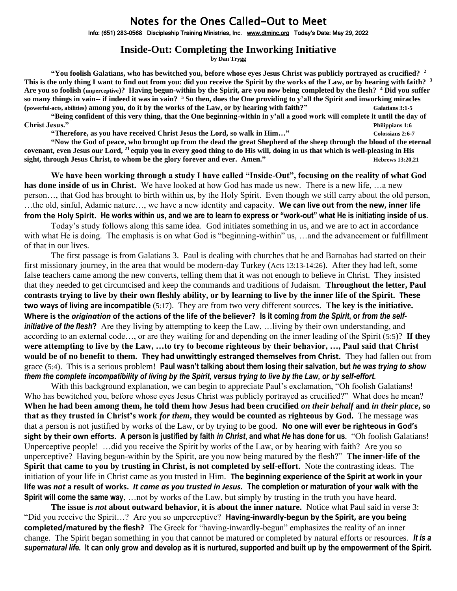## Notes for the Ones Called-Out to Meet

Info: (651) 283-0568 Discipleship Training Ministries, Inc. [www.dtminc.org](http://www.dtminc.org/) Today's Date: May 29, 2022

## **Inside-Out: Completing the Inworking Initiative**

**by Dan Trygg**

**"You foolish Galatians, who has bewitched you, before whose eyes Jesus Christ was publicly portrayed as crucified? <sup>2</sup> This is the only thing I want to find out from you: did you receive the Spirit by the works of the Law, or by hearing with faith? <sup>3</sup> Are you so foolish (unperceptive)? Having begun-within by the Spirit, are you now being completed by the flesh? <sup>4</sup> Did you suffer so many things in vain-- if indeed it was in vain? <sup>5</sup> So then, does the One providing to y'all the Spirit and inworking miracles (powerful-acts, abilities) among you, do it by the works of the Law, or by hearing with faith?" Galatians 3:1-5**

**"Being confident of this very thing, that the One beginning-within in y'all a good work will complete it until the day of Christ Jesus." Philippians 1:6**

**"Therefore, as you have received Christ Jesus the Lord, so walk in Him…" Colossians 2:6-7** 

**"Now the God of peace, who brought up from the dead the great Shepherd of the sheep through the blood of the eternal covenant, even Jesus our Lord, <sup>21</sup>equip you in every good thing to do His will, doing in us that which is well-pleasing in His sight, through Jesus Christ, to whom be the glory forever and ever. Amen."** Hebrews 13:20,21

**We have been working through a study I have called "Inside-Out", focusing on the reality of what God has done inside of us in Christ.** We have looked at how God has made us new. There is a new life, …a new person…, that God has brought to birth within us, by the Holy Spirit. Even though we still carry about the old person, …the old, sinful, Adamic nature…, we have a new identity and capacity. **We can live out from the new, inner life from the Holy Spirit. He works within us, and we are to learn to express or "work-out" what He is initiating inside of us.**

Today's study follows along this same idea. God initiates something in us, and we are to act in accordance with what He is doing. The emphasis is on what God is "beginning-within" us, ... and the advancement or fulfillment of that in our lives.

The first passage is from Galatians 3. Paul is dealing with churches that he and Barnabas had started on their first missionary journey, in the area that would be modern-day Turkey (Acts 13:13-14:26). After they had left, some false teachers came among the new converts, telling them that it was not enough to believe in Christ. They insisted that they needed to get circumcised and keep the commands and traditions of Judaism. **Throughout the letter, Paul contrasts trying to live by their own fleshly ability, or by learning to live by the inner life of the Spirit. These two ways of living are incompatible** (5:17). They are from two very different sources. **The key is the initiative. Where is the** *origination* **of the actions of the life of the believer? Is it coming** *from the Spirit***, or** *from the selfinitiative of the flesh***?** Are they living by attempting to keep the Law, …living by their own understanding, and according to an external code…, or are they waiting for and depending on the inner leading of the Spirit (5:5)? **If they were attempting to live by the Law, …to try to become righteous by their behavior, …, Paul said that Christ would be of no benefit to them. They had unwittingly estranged themselves from Christ.** They had fallen out from grace (5:4). This is a serious problem! **Paul wasn't talking about them losing their salvation, but** *he was trying to show them the complete incompatibility of living by the Spirit, versus trying to live by the Law, or by self-effort.*

With this background explanation, we can begin to appreciate Paul's exclamation, "Oh foolish Galatians! Who has bewitched you, before whose eyes Jesus Christ was publicly portrayed as crucified?" What does he mean? **When he had been among them, he told them how Jesus had been crucified** *on their behalf* **and** *in their place***, so that as they trusted in Christ's work** *for them***, they would be counted as righteous by God.** The message was that a person is not justified by works of the Law, or by trying to be good. **No one will ever be righteous in God's sight by their own efforts. A person is justified by faith** *in Christ***, and what** *He* **has done for us.** "Oh foolish Galatians! Unperceptive people! …did you receive the Spirit by works of the Law, or by hearing with faith? Are you so unperceptive? Having begun-within by the Spirit, are you now being matured by the flesh?" **The inner-life of the Spirit that came to you by trusting in Christ, is not completed by self-effort.** Note the contrasting ideas. The initiation of your life in Christ came as you trusted in Him. **The beginning experience of the Spirit at work in your life was** *not* **a result of works.** *It came as you trusted in Jesus.* **The completion or maturation of your walk with the Spirit will come the same way**, …not by works of the Law, but simply by trusting in the truth you have heard.

**The issue is** *not* **about outward behavior, it is about the inner nature.** Notice what Paul said in verse 3: "Did you receive the Spirit…? Are you so unperceptive? **Having-inwardly-begun by the Spirit, are you being completed/matured by the flesh?** The Greek for "having-inwardly-begun" emphasizes the reality of an inner change. The Spirit began something in you that cannot be matured or completed by natural efforts or resources. *It is a supernatural life.* **It can only grow and develop as it is nurtured, supported and built up by the empowerment of the Spirit.**